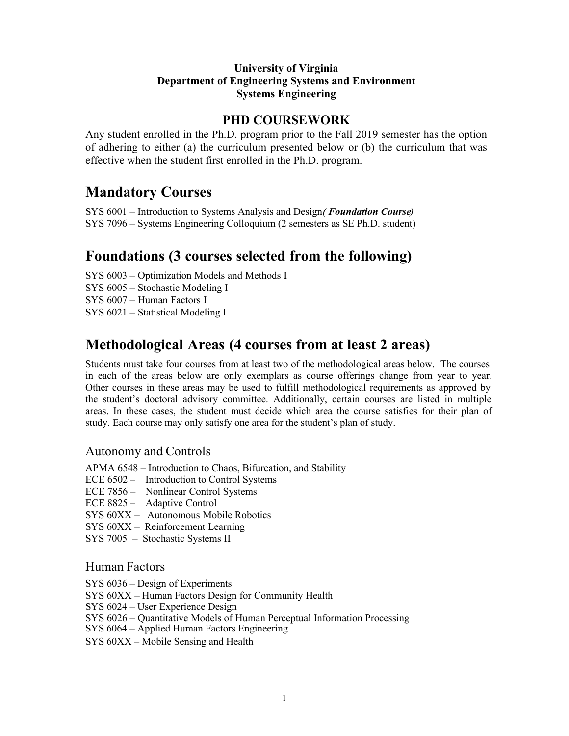#### **University of Virginia Department of Engineering Systems and Environment Systems Engineering**

#### **PHD COURSEWORK**

Any student enrolled in the Ph.D. program prior to the Fall 2019 semester has the option of adhering to either (a) the curriculum presented below or (b) the curriculum that was effective when the student first enrolled in the Ph.D. program.

# **Mandatory Courses**

SYS 6001 – Introduction to Systems Analysis and Design( *Foundation Course*) SYS 7096 – Systems Engineering Colloquium (2 semesters as SE Ph.D. student)

### **Foundations (3 courses selected from the following)**

SYS 6003 – Optimization Models and Methods I

SYS 6005 – Stochastic Modeling I

SYS 6007 – Human Factors I

SYS 6021 – Statistical Modeling I

# **Methodological Areas (4 courses from at least 2 areas)**

Students must take four courses from at least two of the methodological areas below. The courses in each of the areas below are only exemplars as course offerings change from year to year. Other courses in these areas may be used to fulfill methodological requirements as approved by the student's doctoral advisory committee. Additionally, certain courses are listed in multiple areas. In these cases, the student must decide which area the course satisfies for their plan of study. Each course may only satisfy one area for the student's plan of study.

#### Autonomy and Controls

APMA 6548 – Introduction to Chaos, Bifurcation, and Stability

- ECE 6502 Introduction to Control Systems
- ECE 7856 Nonlinear Control Systems
- ECE 8825 Adaptive Control
- SYS 60XX Autonomous Mobile Robotics
- SYS 60XX Reinforcement Learning
- SYS 7005 Stochastic Systems II

#### Human Factors

- SYS 6036 Design of Experiments
- SYS 60XX Human Factors Design for Community Health
- SYS 6024 User Experience Design
- SYS 6026 Quantitative Models of Human Perceptual Information Processing
- SYS 6064 Applied Human Factors Engineering
- SYS 60XX Mobile Sensing and Health